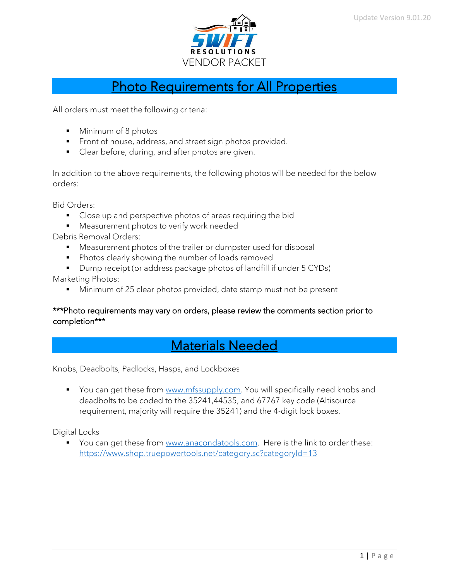

## Photo Requirements for All Properties

All orders must meet the following criteria:

- Minimum of 8 photos
- **•** Front of house, address, and street sign photos provided.
- Clear before, during, and after photos are given.

In addition to the above requirements, the following photos will be needed for the below orders:

Bid Orders:

- Close up and perspective photos of areas requiring the bid
- Measurement photos to verify work needed

Debris Removal Orders:

- Measurement photos of the trailer or dumpster used for disposal
- Photos clearly showing the number of loads removed
- Dump receipt (or address package photos of landfill if under 5 CYDs)

Marketing Photos:

■ Minimum of 25 clear photos provided, date stamp must not be present

#### \*\*\*Photo requirements may vary on orders, please review the comments section prior to completion\*\*\*

## Materials Needed

#### Knobs, Deadbolts, Padlocks, Hasps, and Lockboxes

■ You can get these from [www.mfssupply.com.](http://www.mfssupply.com/) You will specifically need knobs and deadbolts to be coded to the 35241,44535, and 67767 key code (Altisource requirement, majority will require the 35241) and the 4-digit lock boxes.

Digital Locks

■ You can get these from [www.anacondatools.com.](http://www.anacondatools.com/) Here is the link to order these: https://www.shop.truepowertools.net/category.sc?categoryId=13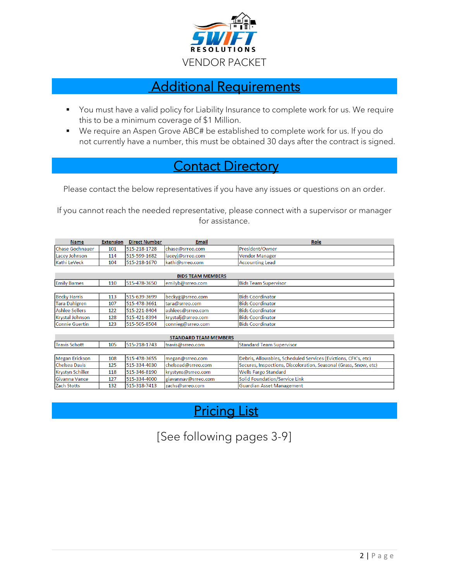

### Additional Requirements

- You must have a valid policy for Liability Insurance to complete work for us. We require this to be a minimum coverage of \$1 Million.
- We require an Aspen Grove ABC# be established to complete work for us. If you do not currently have a number, this must be obtained 30 days after the contract is signed.

## **Contact Directory**

Please contact the below representatives if you have any issues or questions on an order.

If you cannot reach the needed representative, please connect with a supervisor or manager for assistance.

| <b>Name</b>                  | <b>Extension</b> | <b>Direct Number</b> | <b>Email</b>        | Role                                                             |
|------------------------------|------------------|----------------------|---------------------|------------------------------------------------------------------|
| lChase Gochnauer             | 101              | 515-218-1728         | chase@srreo.com     | President/Owner                                                  |
| Lacey Johnson                | 114              | 515-599-1682         | lacevi@srreo.com    | Vendor Manager                                                   |
| Kathi LeVeck                 | 104              | 515-218-1670         | kathi@srreo.com     | <b>Accounting Lead</b>                                           |
|                              |                  |                      |                     |                                                                  |
| <b>BIDS TEAM MEMBERS</b>     |                  |                      |                     |                                                                  |
| <b>Emily Barnes</b>          | 110              | 515-478-3650         | emilyb@srreo.com    | <b>Bids Team Supervisor</b>                                      |
|                              |                  |                      |                     |                                                                  |
| <b>Becky Harris</b>          | 113              | 515-639-3699         | beckyg@srreo.com    | <b>Bids Coordinator</b>                                          |
| <b>Tara Dahlgren</b>         | 107              | 515-478-3661         | tara@srreo.com      | <b>Bids Coordinator</b>                                          |
| Ashlee Sellers               | 122              | 515-221-8404         | ashlees@srreo.com   | <b>Bids Coordinator</b>                                          |
| Krystal Johnson              | 128              | 515-421-8394         | krystalj@srreo.com  | <b>Bids Coordinator</b>                                          |
| Connie Guertin               | 123              | 515-505-8504         | connieg@srreo.com   | <b>Bids Coordinator</b>                                          |
|                              |                  |                      |                     |                                                                  |
| <b>STANDARD TEAM MEMBERS</b> |                  |                      |                     |                                                                  |
| Travis Schott                | 105              | 515-218-1743         | travis@srreo.com    | <b>Standard Team Supervisor</b>                                  |
|                              |                  |                      |                     |                                                                  |
| Megan Erickson               | 108              | 515-478-3655         | megan@srreo.com     | Debris, Allowables, Scheduled Services (Evictions, CFK's, etc)   |
| Chelsea Davis                | 125              | 515-334-4030         | chelsead@srreo.com  | Secures, Inspections, Discoloration, Seasonal (Grass, Snow, etc) |
| <b>Krystyn Schiller</b>      | 118              | 515-346-8190         | krystyns@srreo.com  | Wells Fargo Standard                                             |
| Givanna Vance                | 127              | 515-334-4000         | giavannav@srreo.com | Solid Foundation/Service Link                                    |
| Zach Stotts                  | 132              | 515-318-7413         | zachs@srreo.com     | <b>Guardian Asset Management</b>                                 |

## Pricing List

## [See following pages 3-9]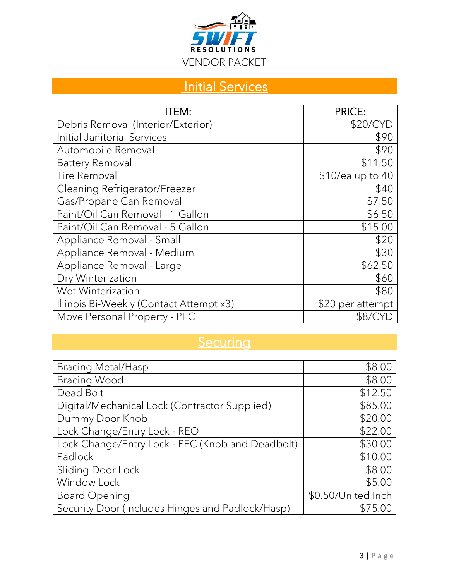

# **Initial Services**

| ITEM:                                   | <b>PRICE:</b>      |
|-----------------------------------------|--------------------|
| Debris Removal (Interior/Exterior)      | \$20/CYD           |
| Initial Janitorial Services             | \$90               |
| Automobile Removal                      | \$90               |
| <b>Battery Removal</b>                  | \$11.50            |
| <b>Tire Removal</b>                     | $$10/e$ a up to 40 |
| Cleaning Refrigerator/Freezer           | \$40               |
| Gas/Propane Can Removal                 | \$7.50             |
| Paint/Oil Can Removal - 1 Gallon        | \$6.50             |
| Paint/Oil Can Removal - 5 Gallon        | \$15.00            |
| Appliance Removal - Small               | \$20               |
| Appliance Removal - Medium              | \$30               |
| Appliance Removal - Large               | \$62.50            |
| Dry Winterization                       | \$60               |
| Wet Winterization                       | \$80               |
| Illinois Bi-Weekly (Contact Attempt x3) | \$20 per attempt   |
| Move Personal Property - PFC            | \$8/CY             |

## **Securing**

| <b>Bracing Metal/Hasp</b>                        | \$8.00             |
|--------------------------------------------------|--------------------|
| <b>Bracing Wood</b>                              | \$8.00             |
| Dead Bolt                                        | \$12.50            |
| Digital/Mechanical Lock (Contractor Supplied)    | \$85.00            |
| Dummy Door Knob                                  | \$20.00            |
| Lock Change/Entry Lock - REO                     | \$22.00            |
| Lock Change/Entry Lock - PFC (Knob and Deadbolt) | \$30.00            |
| Padlock                                          | \$10.00            |
| Sliding Door Lock                                | \$8.00             |
| Window Lock                                      | \$5.00             |
| <b>Board Opening</b>                             | \$0.50/United Inch |
| Security Door (Includes Hinges and Padlock/Hasp) | \$75.00            |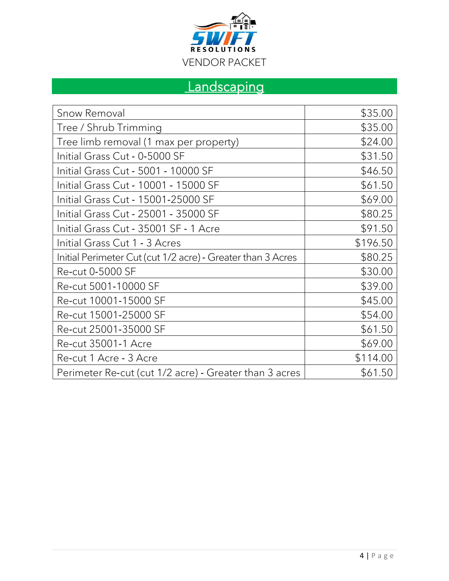

# **Landscaping**

| Snow Removal                                                | \$35.00  |
|-------------------------------------------------------------|----------|
| Tree / Shrub Trimming                                       | \$35.00  |
| Tree limb removal (1 max per property)                      | \$24.00  |
| Initial Grass Cut - 0-5000 SF                               | \$31.50  |
| Initial Grass Cut - 5001 - 10000 SF                         | \$46.50  |
| Initial Grass Cut - 10001 - 15000 SF                        | \$61.50  |
| Initial Grass Cut - 15001-25000 SF                          | \$69.00  |
| Initial Grass Cut - 25001 - 35000 SF                        | \$80.25  |
| Initial Grass Cut - 35001 SF - 1 Acre                       | \$91.50  |
| Initial Grass Cut 1 - 3 Acres                               | \$196.50 |
| Initial Perimeter Cut (cut 1/2 acre) - Greater than 3 Acres | \$80.25  |
| Re-cut 0-5000 SF                                            | \$30.00  |
| Re-cut 5001-10000 SF                                        | \$39.00  |
| Re-cut 10001-15000 SF                                       | \$45.00  |
| Re-cut 15001-25000 SF                                       | \$54.00  |
| Re-cut 25001-35000 SF                                       | \$61.50  |
| <b>Re-cut 35001-1 Acre</b>                                  | \$69.00  |
| Re-cut 1 Acre - 3 Acre                                      | \$114.00 |
| Perimeter Re-cut (cut 1/2 acre) - Greater than 3 acres      | \$61.50  |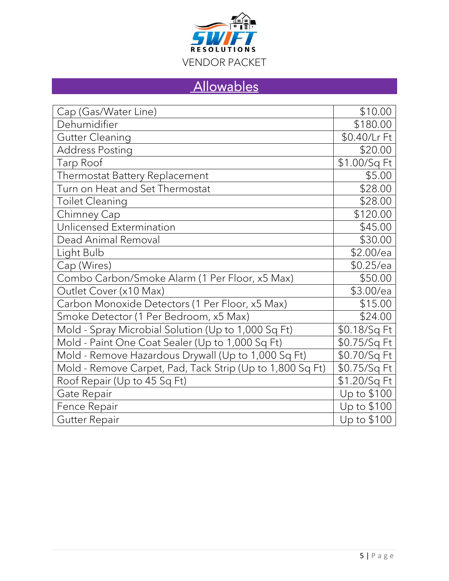

# **Allowables**

| Cap (Gas/Water Line)                                      | \$10.00      |
|-----------------------------------------------------------|--------------|
| Dehumidifier                                              | \$180.00     |
| <b>Gutter Cleaning</b>                                    | \$0.40/Lr Ft |
| Address Posting                                           | \$20.00      |
| Tarp Roof                                                 | \$1.00/Sq Ft |
| Thermostat Battery Replacement                            | \$5.00       |
| Turn on Heat and Set Thermostat                           | \$28.00      |
| <b>Toilet Cleaning</b>                                    | \$28.00      |
| Chimney Cap                                               | \$120.00     |
| Unlicensed Extermination                                  | \$45.00      |
| Dead Animal Removal                                       | \$30.00      |
| Light Bulb                                                | \$2.00/ea    |
| Cap (Wires)                                               | $$0.25$ /ea  |
| Combo Carbon/Smoke Alarm (1 Per Floor, x5 Max)            | \$50.00      |
| Outlet Cover (x10 Max)                                    | \$3.00/ea    |
| Carbon Monoxide Detectors (1 Per Floor, x5 Max)           | \$15.00      |
| Smoke Detector (1 Per Bedroom, x5 Max)                    | \$24.00      |
| Mold - Spray Microbial Solution (Up to 1,000 Sq Ft)       | \$0.18/Sq Ft |
| Mold - Paint One Coat Sealer (Up to 1,000 Sq Ft)          | \$0.75/Sq Ft |
| Mold - Remove Hazardous Drywall (Up to 1,000 Sq Ft)       | \$0.70/Sq Ft |
| Mold - Remove Carpet, Pad, Tack Strip (Up to 1,800 Sq Ft) | \$0.75/Sq Ft |
| Roof Repair (Up to 45 Sq Ft)                              | \$1.20/Sq Ft |
| Gate Repair                                               | Up to \$100  |
| Fence Repair                                              | Up to \$100  |
| Gutter Repair                                             | Up to \$100  |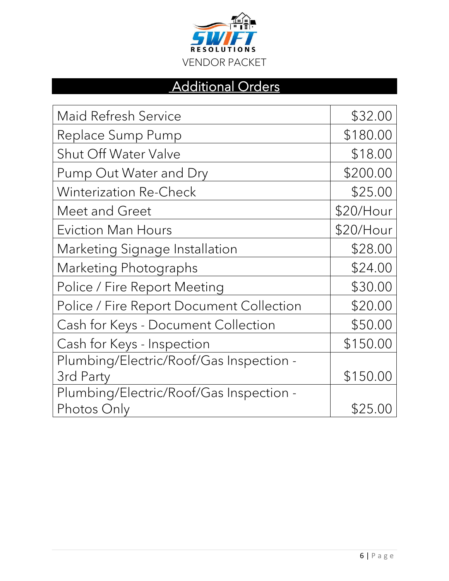

## Additional Orders

| <b>Maid Refresh Service</b>              | \$32.00     |
|------------------------------------------|-------------|
| Replace Sump Pump                        | \$180.00    |
| <b>Shut Off Water Valve</b>              | \$18.00     |
| Pump Out Water and Dry                   | \$200.00    |
| <b>Winterization Re-Check</b>            | \$25.00     |
| Meet and Greet                           | $$20/H$ our |
| <b>Eviction Man Hours</b>                | $$20/H$ our |
| Marketing Signage Installation           | \$28.00     |
| Marketing Photographs                    | \$24.00     |
| Police / Fire Report Meeting             | \$30.00     |
| Police / Fire Report Document Collection | \$20.00     |
| Cash for Keys - Document Collection      | \$50.00     |
| Cash for Keys - Inspection               | \$150.00    |
| Plumbing/Electric/Roof/Gas Inspection -  |             |
| 3rd Party                                | \$150.00    |
| Plumbing/Electric/Roof/Gas Inspection -  |             |
| Photos Only                              | \$25.00     |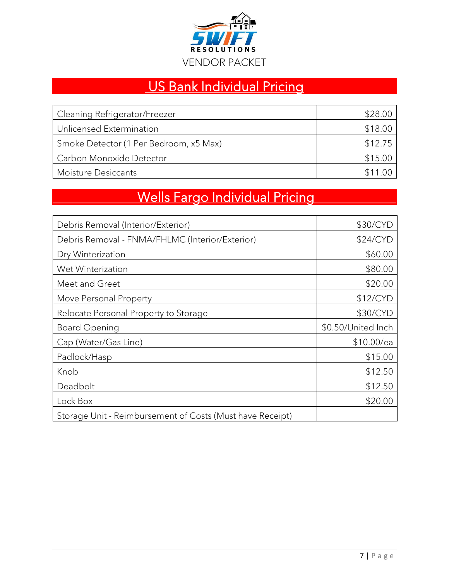

# US Bank Individual Pricing

| Cleaning Refrigerator/Freezer          | \$28.00 |
|----------------------------------------|---------|
| Unlicensed Extermination               | \$18.00 |
| Smoke Detector (1 Per Bedroom, x5 Max) | \$12.75 |
| Carbon Monoxide Detector               | \$15.00 |
| Moisture Desiccants                    | \$1100  |

# Wells Fargo Individual Pricing

| Debris Removal (Interior/Exterior)                        | \$30/CYD           |
|-----------------------------------------------------------|--------------------|
| Debris Removal - FNMA/FHLMC (Interior/Exterior)           | \$24/CYD           |
| Dry Winterization                                         | \$60.00            |
| Wet Winterization                                         | \$80.00            |
| Meet and Greet                                            | \$20.00            |
| Move Personal Property                                    | \$12/CYD           |
| Relocate Personal Property to Storage                     | \$30/CYD           |
| <b>Board Opening</b>                                      | \$0.50/United Inch |
| Cap (Water/Gas Line)                                      | \$10.00/ea         |
| Padlock/Hasp                                              | \$15.00            |
| Knob                                                      | \$12.50            |
| Deadbolt                                                  | \$12.50            |
| Lock Box                                                  | \$20.00            |
| Storage Unit - Reimbursement of Costs (Must have Receipt) |                    |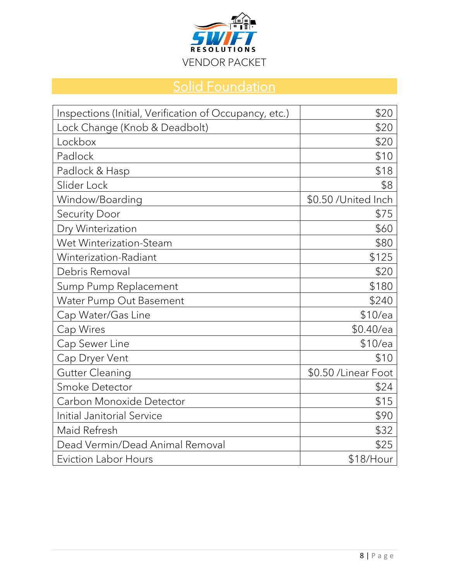

# **Solid Foundation**

| Inspections (Initial, Verification of Occupancy, etc.) | \$20                 |
|--------------------------------------------------------|----------------------|
| Lock Change (Knob & Deadbolt)                          | \$20                 |
| Lockbox                                                | \$20                 |
| Padlock                                                | \$10                 |
| Padlock & Hasp                                         | \$18                 |
| Slider Lock                                            | \$8                  |
| Window/Boarding                                        | \$0.50 /United Inch  |
| <b>Security Door</b>                                   | \$75                 |
| Dry Winterization                                      | \$60                 |
| Wet Winterization-Steam                                | \$80                 |
| Winterization-Radiant                                  | \$125                |
| Debris Removal                                         | \$20                 |
| Sump Pump Replacement                                  | \$180                |
| Water Pump Out Basement                                | \$240                |
| Cap Water/Gas Line                                     | \$10/ea              |
| Cap Wires                                              | $$0.40$ /ea          |
| Cap Sewer Line                                         | \$10/ea              |
| Cap Dryer Vent                                         | \$10                 |
| <b>Gutter Cleaning</b>                                 | \$0.50 / Linear Foot |
| Smoke Detector                                         | \$24                 |
| Carbon Monoxide Detector                               | \$15                 |
| <b>Initial Janitorial Service</b>                      | \$90                 |
| Maid Refresh                                           | \$32                 |
| Dead Vermin/Dead Animal Removal                        | \$25                 |
| <b>Eviction Labor Hours</b>                            | \$18/Hour            |